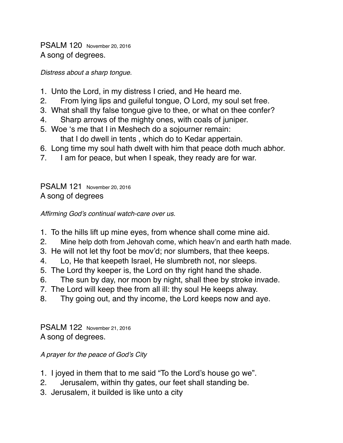PSALM 120 November 20, 2016 A song of degrees.

*Distress about a sharp tongue.*

- 1. Unto the Lord, in my distress I cried, and He heard me.
- 2. From lying lips and guileful tongue, O Lord, my soul set free.
- 3. What shall thy false tongue give to thee, or what on thee confer?
- 4. Sharp arrows of the mighty ones, with coals of juniper.
- 5. Woe 's me that I in Meshech do a sojourner remain: that I do dwell in tents , which do to Kedar appertain.
- 6. Long time my soul hath dwelt with him that peace doth much abhor.
- 7. I am for peace, but when I speak, they ready are for war.

PSALM 121 November 20, 2016 A song of degrees

*Affirming God's continual watch-care over us.*

- 1. To the hills lift up mine eyes, from whence shall come mine aid.
- 2. Mine help doth from Jehovah come, which heav'n and earth hath made.
- 3. He will not let thy foot be mov'd; nor slumbers, that thee keeps.
- 4. Lo, He that keepeth Israel, He slumbreth not, nor sleeps.
- 5. The Lord thy keeper is, the Lord on thy right hand the shade.
- 6. The sun by day, nor moon by night, shall thee by stroke invade.
- 7. The Lord will keep thee from all ill: thy soul He keeps alway.
- 8. Thy going out, and thy income, the Lord keeps now and aye.

PSALM 122 November 21, 2016 A song of degrees.

*A prayer for the peace of God's City* 

- 1. I joyed in them that to me said "To the Lord's house go we".
- 2. Jerusalem, within thy gates, our feet shall standing be.
- 3. Jerusalem, it builded is like unto a city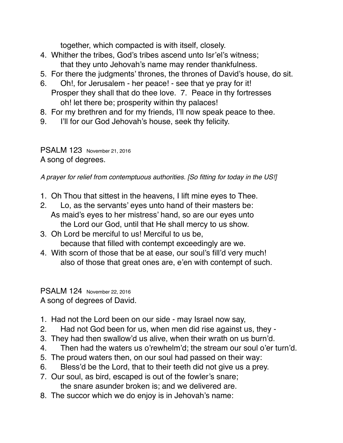together, which compacted is with itself, closely.

- 4. Whither the tribes, God's tribes ascend unto Isr'el's witness; that they unto Jehovah's name may render thankfulness.
- 5. For there the judgments' thrones, the thrones of David's house, do sit.
- 6. Oh!, for Jerusalem her peace! see that ye pray for it! Prosper they shall that do thee love. 7. Peace in thy fortresses oh! let there be; prosperity within thy palaces!
- 8. For my brethren and for my friends, I'll now speak peace to thee.
- 9. I'll for our God Jehovah's house, seek thy felicity.

PSALM 123 November 21, 2016 A song of degrees.

*A prayer for relief from contemptuous authorities. [So fitting for today in the US!]*

- 1. Oh Thou that sittest in the heavens, I lift mine eyes to Thee.
- 2. Lo, as the servants' eyes unto hand of their masters be: As maid's eyes to her mistress' hand, so are our eyes unto the Lord our God, until that He shall mercy to us show.
- 3. Oh Lord be merciful to us! Merciful to us be, because that filled with contempt exceedingly are we.
- 4. With scorn of those that be at ease, our soul's fill'd very much! also of those that great ones are, e'en with contempt of such.

PSALM 124 November 22, 2016 A song of degrees of David.

- 1. Had not the Lord been on our side may Israel now say,
- 2. Had not God been for us, when men did rise against us, they -
- 3. They had then swallow'd us alive, when their wrath on us burn'd.
- 4. Then had the waters us o'rewhelm'd; the stream our soul o'er turn'd.
- 5. The proud waters then, on our soul had passed on their way:
- 6. Bless'd be the Lord, that to their teeth did not give us a prey.
- 7. Our soul, as bird, escaped is out of the fowler's snare; the snare asunder broken is; and we delivered are.
- 8. The succor which we do enjoy is in Jehovah's name: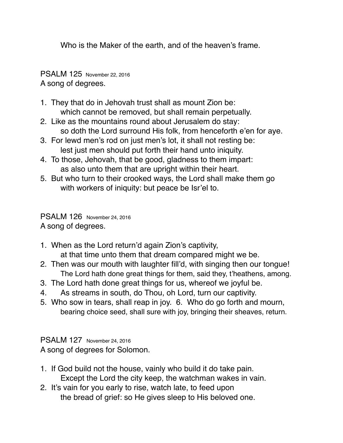Who is the Maker of the earth, and of the heaven's frame.

PSALM 125 November 22, 2016 A song of degrees.

- 1. They that do in Jehovah trust shall as mount Zion be: which cannot be removed, but shall remain perpetually.
- 2. Like as the mountains round about Jerusalem do stay: so doth the Lord surround His folk, from henceforth e'en for aye.
- 3. For lewd men's rod on just men's lot, it shall not resting be: lest just men should put forth their hand unto iniquity.
- 4. To those, Jehovah, that be good, gladness to them impart: as also unto them that are upright within their heart.
- 5. But who turn to their crooked ways, the Lord shall make them go with workers of iniquity: but peace be Isr'el to.

PSALM 126 November 24, 2016 A song of degrees.

- 1. When as the Lord return'd again Zion's captivity, at that time unto them that dream compared might we be.
- 2. Then was our mouth with laughter fill'd, with singing then our tongue! The Lord hath done great things for them, said they, t'heathens, among.
- 3. The Lord hath done great things for us, whereof we joyful be.
- 4. As streams in south, do Thou, oh Lord, turn our captivity.
- 5. Who sow in tears, shall reap in joy. 6. Who do go forth and mourn, bearing choice seed, shall sure with joy, bringing their sheaves, return.

PSALM 127 November 24, 2016 A song of degrees for Solomon.

- 1. If God build not the house, vainly who build it do take pain. Except the Lord the city keep, the watchman wakes in vain.
- 2. It's vain for you early to rise, watch late, to feed upon the bread of grief: so He gives sleep to His beloved one.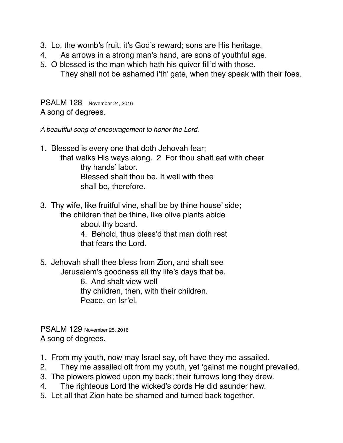- 3. Lo, the womb's fruit, it's God's reward; sons are His heritage.
- 4. As arrows in a strong man's hand, are sons of youthful age.
- 5. O blessed is the man which hath his quiver fill'd with those. They shall not be ashamed i'th' gate, when they speak with their foes.

PSALM 128 November 24, 2016 A song of degrees.

*A beautiful song of encouragement to honor the Lord.*

- 1. Blessed is every one that doth Jehovah fear; that walks His ways along. 2 For thou shalt eat with cheer thy hands' labor. Blessed shalt thou be. It well with thee shall be, therefore.
- 3. Thy wife, like fruitful vine, shall be by thine house' side; the children that be thine, like olive plants abide about thy board. 4. Behold, thus bless'd that man doth rest that fears the Lord.
- 5. Jehovah shall thee bless from Zion, and shalt see Jerusalem's goodness all thy life's days that be. 6. And shalt view well thy children, then, with their children. Peace, on Isr'el.

PSALM 129 November 25, 2016 A song of degrees.

- 1. From my youth, now may Israel say, oft have they me assailed.
- 2. They me assailed oft from my youth, yet 'gainst me nought prevailed.
- 3. The plowers plowed upon my back; their furrows long they drew.
- 4. The righteous Lord the wicked's cords He did asunder hew.
- 5. Let all that Zion hate be shamed and turned back together.